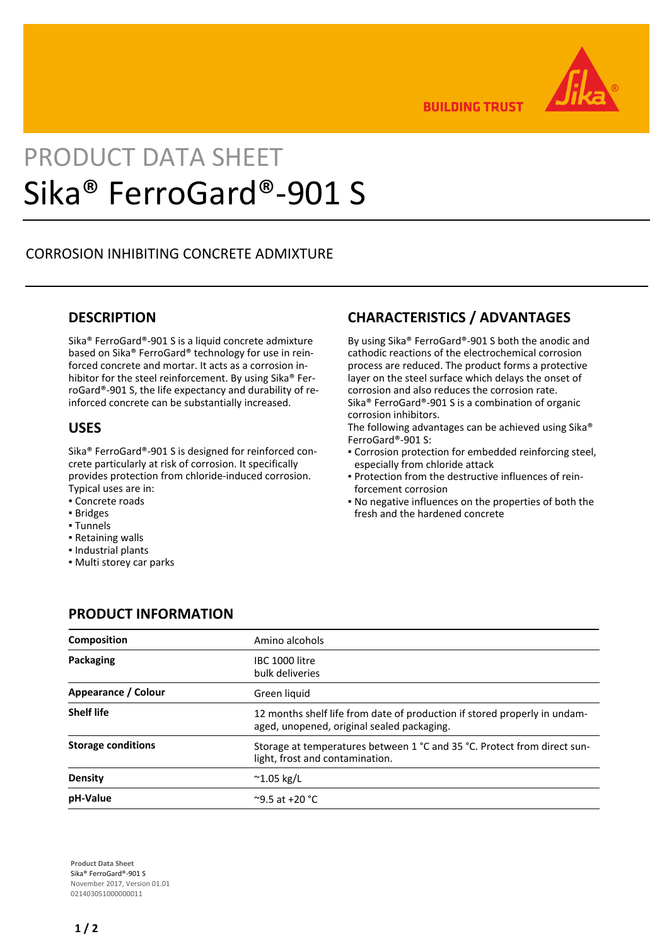

**BUILDING TRUST** 

# PRODUCT DATA SHEET Sika® FerroGard®-901 S

### CORROSION INHIBITING CONCRETE ADMIXTURE

#### **DESCRIPTION**

Sika® FerroGard®-901 S is a liquid concrete admixture based on Sika® FerroGard® technology for use in reinforced concrete and mortar. It acts as a corrosion inhibitor for the steel reinforcement. By using Sika® FerroGard®-901 S, the life expectancy and durability of reinforced concrete can be substantially increased.

#### **USES**

Sika® FerroGard®-901 S is designed for reinforced concrete particularly at risk of corrosion. It specifically provides protection from chloride-induced corrosion. Typical uses are in:

- Concrete roads
- Bridges
- Tunnels
- Retaining walls
- Industrial plants
- Multi storey car parks

## **CHARACTERISTICS / ADVANTAGES**

By using Sika® FerroGard®-901 S both the anodic and cathodic reactions of the electrochemical corrosion process are reduced. The product forms a protective layer on the steel surface which delays the onset of corrosion and also reduces the corrosion rate. Sika® FerroGard®-901 S is a combination of organic corrosion inhibitors.

The following advantages can be achieved using Sika® FerroGard®-901 S:

- Corrosion protection for embedded reinforcing steel, especially from chloride attack
- Protection from the destructive influences of rein-▪ forcement corrosion
- No negative influences on the properties of both the fresh and the hardened concrete

| <b>Composition</b>        | Amino alcohols                                                                                                          |
|---------------------------|-------------------------------------------------------------------------------------------------------------------------|
| Packaging                 | IBC 1000 litre<br>bulk deliveries                                                                                       |
| Appearance / Colour       | Green liquid                                                                                                            |
| <b>Shelf life</b>         | 12 months shelf life from date of production if stored properly in undam-<br>aged, unopened, original sealed packaging. |
| <b>Storage conditions</b> | Storage at temperatures between 1 °C and 35 °C. Protect from direct sun-<br>light, frost and contamination.             |
| Density                   | $^{\sim}$ 1.05 kg/L                                                                                                     |
| pH-Value                  | $^{\circ}$ 9.5 at +20 $^{\circ}$ C                                                                                      |

## **PRODUCT INFORMATION**

**Product Data Sheet** Sika® FerroGard®-901 S November 2017, Version 01.01 021403051000000011